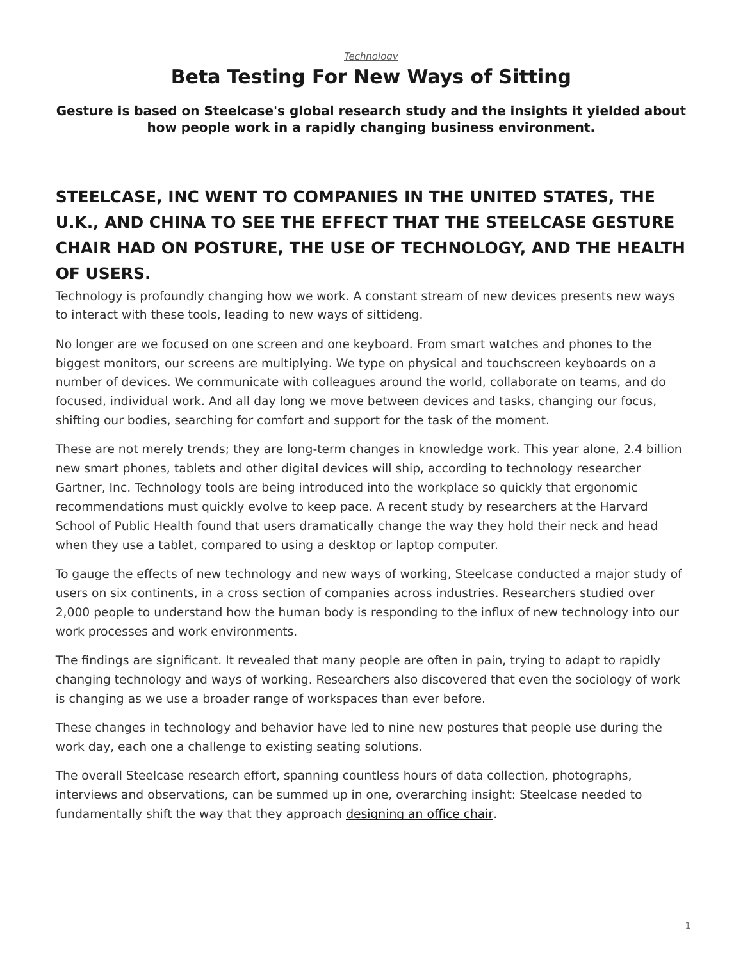### *[Technology](https://www.steelcase.com/research/topics/technology/)* **Beta Testing For New Ways of Sitting**

<span id="page-0-0"></span>**Gesture is based on Steelcase's global research study and the insights it yielded about how people work in a rapidly changing business environment.**

# **STEELCASE, INC WENT TO COMPANIES IN THE UNITED STATES, THE U.K., AND CHINA TO SEE THE EFFECT THAT THE STEELCASE GESTURE CHAIR HAD ON POSTURE, THE USE OF TECHNOLOGY, AND THE HEALTH OF USERS.**

Technology is profoundly changing how we work. A constant stream of new devices presents new ways to interact with these tools, leading to new ways of sittideng.

No longer are we focused on one screen and one keyboard. From smart watches and phones to the biggest monitors, our screens are multiplying. We type on physical and touchscreen keyboards on a number of devices. We communicate with colleagues around the world, collaborate on teams, and do focused, individual work. And all day long we move between devices and tasks, changing our focus, shifting our bodies, searching for comfort and support for the task of the moment.

These are not merely trends; they are long-term changes in knowledge work. This year alone, 2.4 billion new smart phones, tablets and other digital devices will ship, according to technology researcher Gartner, Inc. Technology tools are being introduced into the workplace so quickly that ergonomic recommendations must quickly evolve to keep pace. A recent study by researchers at the Harvard School of Public Health found that users dramatically change the way they hold their neck and head when they use a tablet, compared to using a desktop or laptop computer.

To gauge the effects of new technology and new ways of working, Steelcase conducted a major study of users on six continents, in a cross section of companies across industries. Researchers studied over 2,000 people to understand how the human body is responding to the influx of new technology into our work processes and work environments.

The findings are significant. It revealed that many people are often in pain, trying to adapt to rapidly changing technology and ways of working. Researchers also discovered that even the sociology of work is changing as we use a broader range of workspaces than ever before.

These changes in technology and behavior have led to nine new postures that people use during the work day, each one a challenge to existing seating solutions.

The overall Steelcase research effort, spanning countless hours of data collection, photographs, interviews and observations, can be summed up in one, overarching insight: Steelcase needed to fundamentally shift the way that they approach [designing an office chair.](https://www.steelcase.com/products/office-chairs/)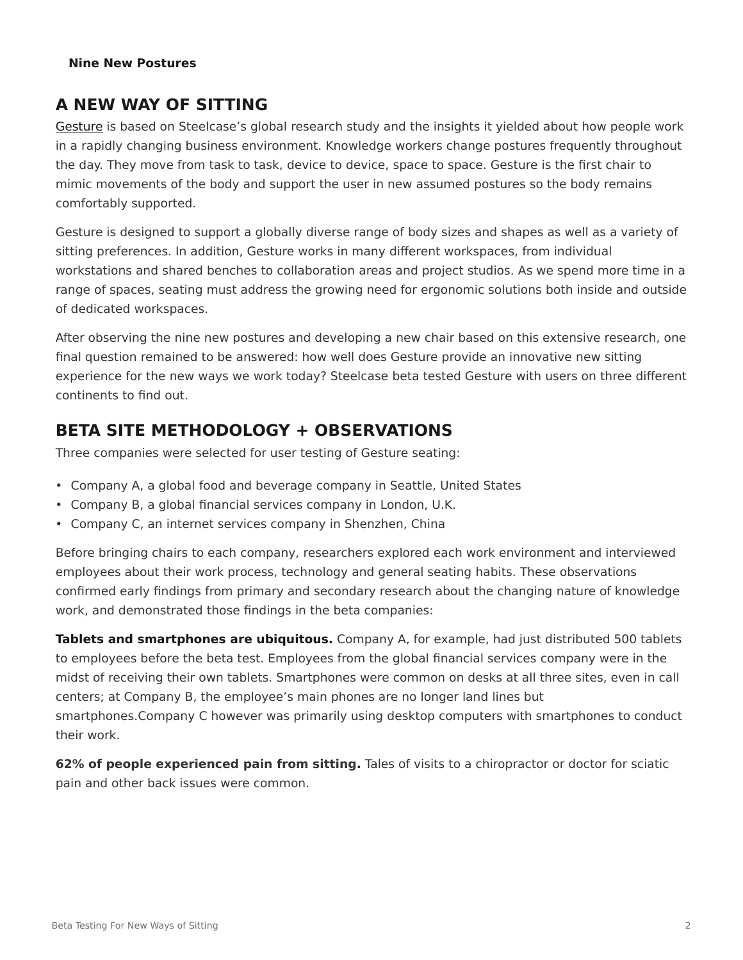#### **Nine New Postures**

## **A NEW WAY OF SITTING**

[Gesture](https://www.steelcase.com/products/office-chairs/gesture/) is based on Steelcase's global research study and the insights it yielded about how people work in a rapidly changing business environment. Knowledge workers change postures frequently throughout the day. They move from task to task, device to device, space to space. Gesture is the first chair to mimic movements of the body and support the user in new assumed postures so the body remains comfortably supported.

Gesture is designed to support a globally diverse range of body sizes and shapes as well as a variety of sitting preferences. In addition, Gesture works in many different workspaces, from individual workstations and shared benches to collaboration areas and project studios. As we spend more time in a range of spaces, seating must address the growing need for ergonomic solutions both inside and outside of dedicated workspaces.

After observing the nine new postures and developing a new chair based on this extensive research, one final question remained to be answered: how well does Gesture provide an innovative new sitting experience for the new ways we work today? Steelcase beta tested Gesture with users on three different continents to find out.

## **BETA SITE METHODOLOGY + OBSERVATIONS**

Three companies were selected for user testing of Gesture seating:

- Company A, a global food and beverage company in Seattle, United States
- Company B, a global financial services company in London, U.K.
- Company C, an internet services company in Shenzhen, China

Before bringing chairs to each company, researchers explored each work environment and interviewed employees about their work process, technology and general seating habits. These observations confirmed early findings from primary and secondary research about the changing nature of knowledge work, and demonstrated those findings in the beta companies:

**Tablets and smartphones are ubiquitous.** Company A, for example, had just distributed 500 tablets to employees before the beta test. Employees from the global financial services company were in the midst of receiving their own tablets. Smartphones were common on desks at all three sites, even in call centers; at Company B, the employee's main phones are no longer land lines but smartphones.Company C however was primarily using desktop computers with smartphones to conduct their work.

**62% of people experienced pain from sitting.** Tales of visits to a chiropractor or doctor for sciatic pain and other back issues were common.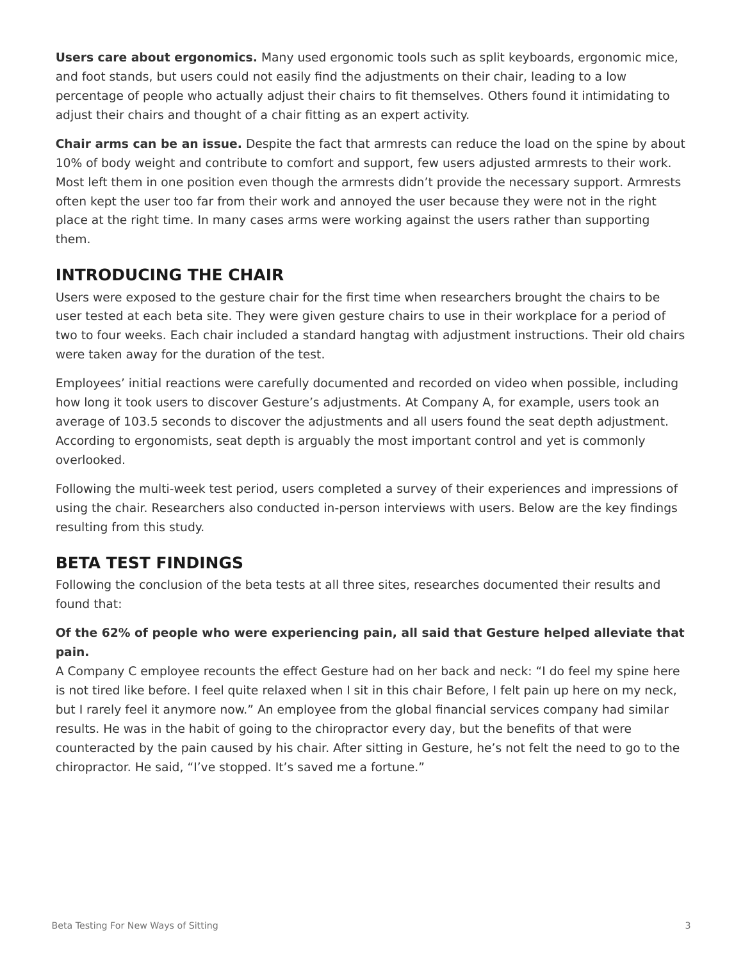**Users care about ergonomics.** Many used ergonomic tools such as split keyboards, ergonomic mice, and foot stands, but users could not easily find the adjustments on their chair, leading to a low percentage of people who actually adjust their chairs to fit themselves. Others found it intimidating to adjust their chairs and thought of a chair fitting as an expert activity.

**Chair arms can be an issue.** Despite the fact that armrests can reduce the load on the spine by about 10% of body weight and contribute to comfort and support, few users adjusted armrests to their work. Most left them in one position even though the armrests didn't provide the necessary support. Armrests often kept the user too far from their work and annoyed the user because they were not in the right place at the right time. In many cases arms were working against the users rather than supporting them.

## **INTRODUCING THE CHAIR**

Users were exposed to the gesture chair for the first time when researchers brought the chairs to be user tested at each beta site. They were given gesture chairs to use in their workplace for a period of two to four weeks. Each chair included a standard hangtag with adjustment instructions. Their old chairs were taken away for the duration of the test.

Employees' initial reactions were carefully documented and recorded on video when possible, including how long it took users to discover Gesture's adjustments. At Company A, for example, users took an average of 103.5 seconds to discover the adjustments and all users found the seat depth adjustment. According to ergonomists, seat depth is arguably the most important control and yet is commonly overlooked.

Following the multi-week test period, users completed a survey of their experiences and impressions of using the chair. Researchers also conducted in-person interviews with users. Below are the key findings resulting from this study.

## **BETA TEST FINDINGS**

Following the conclusion of the beta tests at all three sites, researches documented their results and found that:

#### **Of the 62% of people who were experiencing pain, all said that Gesture helped alleviate that pain.**

A Company C employee recounts the effect Gesture had on her back and neck: "I do feel my spine here is not tired like before. I feel quite relaxed when I sit in this chair Before, I felt pain up here on my neck, but I rarely feel it anymore now." An employee from the global financial services company had similar results. He was in the habit of going to the chiropractor every day, but the benefits of that were counteracted by the pain caused by his chair. After sitting in Gesture, he's not felt the need to go to the chiropractor. He said, "I've stopped. It's saved me a fortune."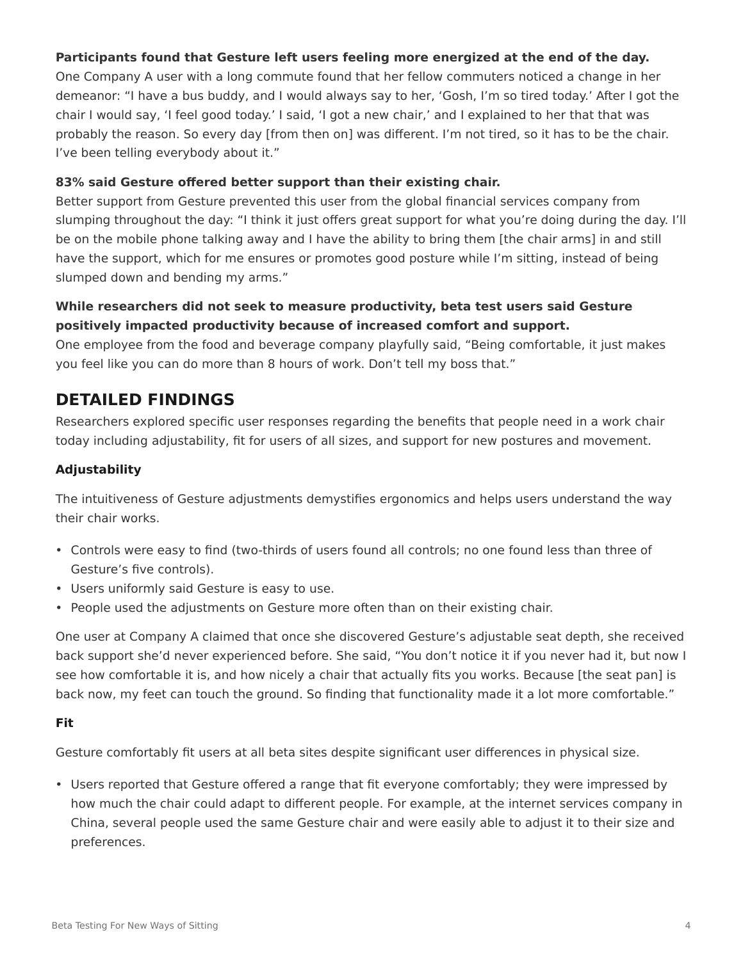#### **Participants found that Gesture left users feeling more energized at the end of the day.**

One Company A user with a long commute found that her fellow commuters noticed a change in her demeanor: "I have a bus buddy, and I would always say to her, 'Gosh, I'm so tired today.' After I got the chair I would say, 'I feel good today.' I said, 'I got a new chair,' and I explained to her that that was probably the reason. So every day [from then on] was different. I'm not tired, so it has to be the chair. I've been telling everybody about it."

#### **83% said Gesture offered better support than their existing chair.**

Better support from Gesture prevented this user from the global financial services company from slumping throughout the day: "I think it just offers great support for what you're doing during the day. I'll be on the mobile phone talking away and I have the ability to bring them [the chair arms] in and still have the support, which for me ensures or promotes good posture while I'm sitting, instead of being slumped down and bending my arms."

#### **While researchers did not seek to measure productivity, beta test users said Gesture positively impacted productivity because of increased comfort and support.**

One employee from the food and beverage company playfully said, "Being comfortable, it just makes you feel like you can do more than 8 hours of work. Don't tell my boss that."

### **DETAILED FINDINGS**

Researchers explored specific user responses regarding the benefits that people need in a work chair today including adjustability, fit for users of all sizes, and support for new postures and movement.

#### **Adjustability**

The intuitiveness of Gesture adjustments demystifies ergonomics and helps users understand the way their chair works.

- Controls were easy to find (two-thirds of users found all controls; no one found less than three of Gesture's five controls).
- Users uniformly said Gesture is easy to use.
- People used the adjustments on Gesture more often than on their existing chair.

One user at Company A claimed that once she discovered Gesture's adjustable seat depth, she received back support she'd never experienced before. She said, "You don't notice it if you never had it, but now I see how comfortable it is, and how nicely a chair that actually fits you works. Because [the seat pan] is back now, my feet can touch the ground. So finding that functionality made it a lot more comfortable."

#### **Fit**

Gesture comfortably fit users at all beta sites despite significant user differences in physical size.

• Users reported that Gesture offered a range that fit everyone comfortably; they were impressed by how much the chair could adapt to different people. For example, at the internet services company in China, several people used the same Gesture chair and were easily able to adjust it to their size and preferences.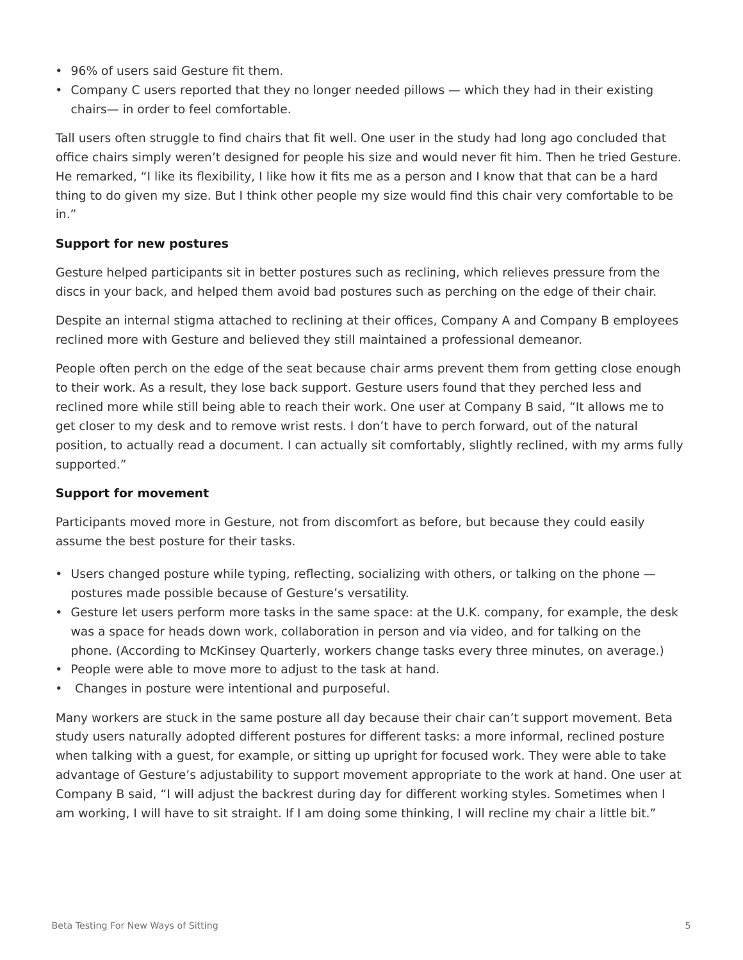- 96% of users said Gesture fit them.
- Company C users reported that they no longer needed pillows which they had in their existing chairs— in order to feel comfortable.

Tall users often struggle to find chairs that fit well. One user in the study had long ago concluded that office chairs simply weren't designed for people his size and would never fit him. Then he tried Gesture. He remarked, "I like its flexibility, I like how it fits me as a person and I know that that can be a hard thing to do given my size. But I think other people my size would find this chair very comfortable to be in."

#### **Support for new postures**

Gesture helped participants sit in better postures such as reclining, which relieves pressure from the discs in your back, and helped them avoid bad postures such as perching on the edge of their chair.

Despite an internal stigma attached to reclining at their offices, Company A and Company B employees reclined more with Gesture and believed they still maintained a professional demeanor.

People often perch on the edge of the seat because chair arms prevent them from getting close enough to their work. As a result, they lose back support. Gesture users found that they perched less and reclined more while still being able to reach their work. One user at Company B said, "It allows me to get closer to my desk and to remove wrist rests. I don't have to perch forward, out of the natural position, to actually read a document. I can actually sit comfortably, slightly reclined, with my arms fully supported."

#### **Support for movement**

Participants moved more in Gesture, not from discomfort as before, but because they could easily assume the best posture for their tasks.

- Users changed posture while typing, reflecting, socializing with others, or talking on the phone postures made possible because of Gesture's versatility.
- Gesture let users perform more tasks in the same space: at the U.K. company, for example, the desk was a space for heads down work, collaboration in person and via video, and for talking on the phone. (According to McKinsey Quarterly, workers change tasks every three minutes, on average.)
- People were able to move more to adjust to the task at hand.
- Changes in posture were intentional and purposeful.

Many workers are stuck in the same posture all day because their chair can't support movement. Beta study users naturally adopted different postures for different tasks: a more informal, reclined posture when talking with a guest, for example, or sitting up upright for focused work. They were able to take advantage of Gesture's adjustability to support movement appropriate to the work at hand. One user at Company B said, "I will adjust the backrest during day for different working styles. Sometimes when I am working, I will have to sit straight. If I am doing some thinking, I will recline my chair a little bit."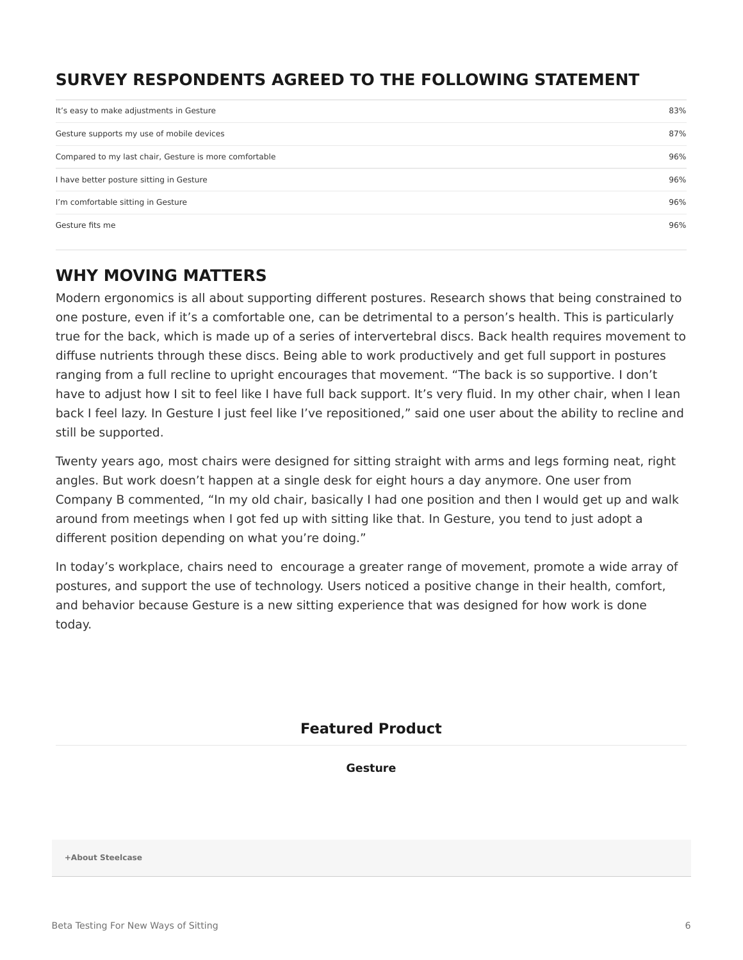## **SURVEY RESPONDENTS AGREED TO THE FOLLOWING STATEMENT**

| It's easy to make adjustments in Gesture               | 83% |
|--------------------------------------------------------|-----|
| Gesture supports my use of mobile devices              | 87% |
| Compared to my last chair, Gesture is more comfortable | 96% |
| I have better posture sitting in Gesture               | 96% |
| I'm comfortable sitting in Gesture                     | 96% |
| Gesture fits me                                        | 96% |

## **WHY MOVING MATTERS**

Modern ergonomics is all about supporting different postures. Research shows that being constrained to one posture, even if it's a comfortable one, can be detrimental to a person's health. This is particularly true for the back, which is made up of a series of intervertebral discs. Back health requires movement to diffuse nutrients through these discs. Being able to work productively and get full support in postures ranging from a full recline to upright encourages that movement. "The back is so supportive. I don't have to adjust how I sit to feel like I have full back support. It's very fluid. In my other chair, when I lean back I feel lazy. In Gesture I just feel like I've repositioned," said one user about the ability to recline and still be supported.

Twenty years ago, most chairs were designed for sitting straight with arms and legs forming neat, right angles. But work doesn't happen at a single desk for eight hours a day anymore. One user from Company B commented, "In my old chair, basically I had one position and then I would get up and walk around from meetings when I got fed up with sitting like that. In Gesture, you tend to just adopt a different position depending on what you're doing."

In today's workplace, chairs need to encourage a greater range of movement, promote a wide array of postures, and support the use of technology. Users noticed a positive change in their health, comfort, and behavior because Gesture is a new sitting experience that was designed for how work is done today.

#### **Featured Product**

**[Gesture](https://www.steelcase.com/products/office-chairs/gesture/)**

**[+About Steelcase](https://www.steelcase.com/discover/steelcase/our-company/)**